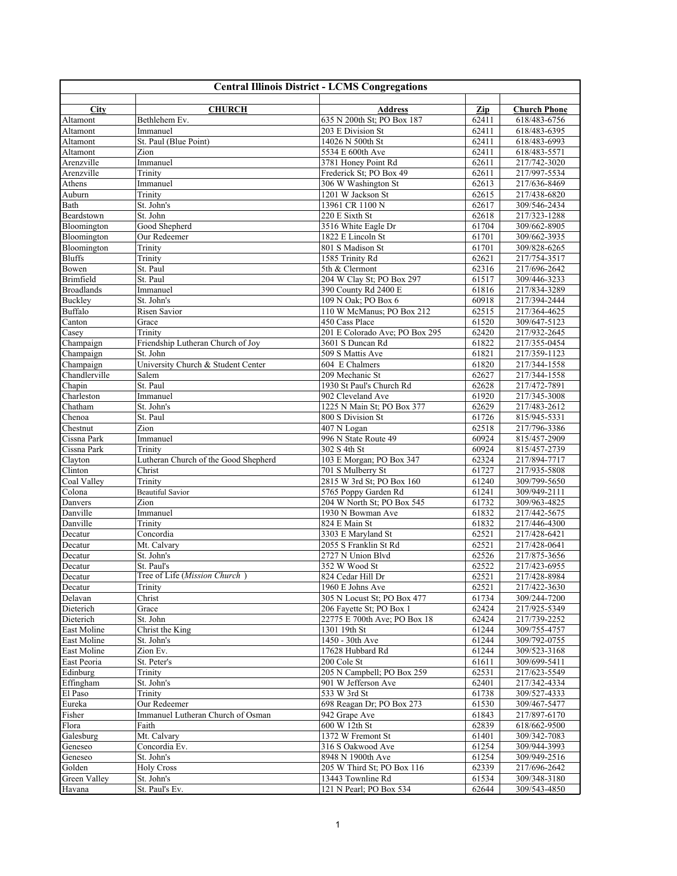| <b>Central Illinois District - LCMS Congregations</b> |                                      |                                       |       |                     |  |  |  |
|-------------------------------------------------------|--------------------------------------|---------------------------------------|-------|---------------------|--|--|--|
| <b>City</b>                                           | <b>CHURCH</b>                        | <b>Address</b>                        | Zip   | <b>Church Phone</b> |  |  |  |
| Altamont                                              | Bethlehem Ev.                        | 635 N 200th St; PO Box 187            | 62411 | 618/483-6756        |  |  |  |
| Altamont                                              | Immanuel                             | 203 E Division St                     | 62411 | 618/483-6395        |  |  |  |
| Altamont                                              | St. Paul (Blue Point)                | 14026 N 500th St                      | 62411 | 618/483-6993        |  |  |  |
| Altamont                                              | Zion                                 | 5534 E 600th Ave                      | 62411 | 618/483-5571        |  |  |  |
| Arenzville                                            | Immanuel                             | 3781 Honey Point Rd                   | 62611 | 217/742-3020        |  |  |  |
| Arenzville                                            | Trinity                              | Frederick St; PO Box 49               | 62611 | 217/997-5534        |  |  |  |
| Athens                                                | Immanuel                             | 306 W Washington St                   | 62613 | 217/636-8469        |  |  |  |
| Auburn                                                | Trinity                              | 1201 W Jackson St                     | 62615 | 217/438-6820        |  |  |  |
| Bath                                                  | St. John's                           | 13961 CR 1100 N                       | 62617 | 309/546-2434        |  |  |  |
| Beardstown                                            | St. John                             | 220 E Sixth St                        | 62618 | 217/323-1288        |  |  |  |
| Bloomington                                           | Good Shepherd                        | 3516 White Eagle Dr                   | 61704 | 309/662-8905        |  |  |  |
| Bloomington                                           | Our Redeemer                         | 1822 E Lincoln St                     | 61701 | 309/662-3935        |  |  |  |
| Bloomington                                           | Trinity                              | 801 S Madison St                      | 61701 | 309/828-6265        |  |  |  |
| <b>Bluffs</b>                                         | Trinity                              | 1585 Trinity Rd                       | 62621 | 217/754-3517        |  |  |  |
| Bowen                                                 | St. Paul                             | 5th & Clermont                        | 62316 | 217/696-2642        |  |  |  |
| Brimfield                                             | St. Paul                             | 204 W Clay St; PO Box 297             | 61517 | 309/446-3233        |  |  |  |
| <b>Broadlands</b>                                     | Immanuel                             | 390 County Rd 2400 E                  | 61816 | 217/834-3289        |  |  |  |
| <b>Buckley</b>                                        | St. John's                           | 109 N Oak; PO Box 6                   | 60918 | 217/394-2444        |  |  |  |
| <b>Buffalo</b>                                        | Risen Savior                         | 110 W McManus; PO Box 212             | 62515 | 217/364-4625        |  |  |  |
| Canton                                                | Grace                                | 450 Cass Place                        | 61520 | 309/647-5123        |  |  |  |
|                                                       |                                      |                                       |       |                     |  |  |  |
| Casey                                                 | Trinity                              | 201 E Colorado Ave; PO Box 295        | 62420 | 217/932-2645        |  |  |  |
| Champaign                                             | Friendship Lutheran Church of Joy    | 3601 S Duncan Rd                      | 61822 | 217/355-0454        |  |  |  |
| Champaign                                             | St. John                             | 509 S Mattis Ave                      | 61821 | 217/359-1123        |  |  |  |
| Champaign                                             | University Church & Student Center   | 604 E Chalmers                        | 61820 | 217/344-1558        |  |  |  |
| Chandlerville                                         | Salem                                | 209 Mechanic St                       | 62627 | 217/344-1558        |  |  |  |
| Chapin                                                | St. Paul                             | 1930 St Paul's Church Rd              | 62628 | 217/472-7891        |  |  |  |
| Charleston                                            | Immanuel                             | 902 Cleveland Ave                     | 61920 | 217/345-3008        |  |  |  |
| Chatham                                               | St. John's                           | 1225 N Main St; PO Box 377            | 62629 | 217/483-2612        |  |  |  |
| Chenoa                                                | St. Paul                             | 800 S Division St                     | 61726 | 815/945-5331        |  |  |  |
| Chestnut                                              | Zion                                 | 407 N Logan                           | 62518 | 217/796-3386        |  |  |  |
| Cissna Park                                           | Immanuel                             | 996 N State Route 49                  | 60924 | 815/457-2909        |  |  |  |
| Cissna Park                                           | Trinity                              | 302 S 4th St                          | 60924 | 815/457-2739        |  |  |  |
| Clayton                                               | Lutheran Church of the Good Shepherd | 103 E Morgan; PO Box 347              | 62324 | 217/894-7717        |  |  |  |
| Clinton                                               | Christ                               | 701 S Mulberry St                     | 61727 | 217/935-5808        |  |  |  |
| Coal Valley                                           | Trinity                              | 2815 W 3rd St; PO Box 160             | 61240 | 309/799-5650        |  |  |  |
| Colona                                                | <b>Beautiful Savior</b>              | 5765 Poppy Garden Rd                  | 61241 | 309/949-2111        |  |  |  |
| Danvers                                               | Zion                                 | 204 W North St; PO Box 545            | 61732 | 309/963-4825        |  |  |  |
| Danville                                              | Immanuel                             | 1930 N Bowman Ave                     | 61832 | 217/442-5675        |  |  |  |
| Danville                                              | Trinity                              | 824 E Main St                         | 61832 | 217/446-4300        |  |  |  |
| Decatur                                               | Concordia                            | 3303 E Maryland St                    | 62521 | 217/428-6421        |  |  |  |
| Decatur                                               | Mt. Calvary                          | 2055 S Franklin St Rd                 | 62521 | 217/428-0641        |  |  |  |
| Decatur                                               | St. John's                           | 2727 N Union Blvd                     | 62526 | 217/875-3656        |  |  |  |
| Decatur                                               | St. Paul's                           | 352 W Wood St                         | 62522 | 217/423-6955        |  |  |  |
|                                                       | Tree of Life (Mission Church)        |                                       | 62521 | 217/428-8984        |  |  |  |
| Decatur<br>Decatur                                    | Trinity                              | 824 Cedar Hill Dr<br>1960 E Johns Ave | 62521 | 217/422-3630        |  |  |  |
| Delavan                                               | Christ                               | 305 N Locust St; PO Box 477           | 61734 | 309/244-7200        |  |  |  |
|                                                       |                                      |                                       |       |                     |  |  |  |
| Dieterich                                             | Grace                                | 206 Fayette St; PO Box 1              | 62424 | 217/925-5349        |  |  |  |
| Dieterich                                             | St. John                             | 22775 E 700th Ave; PO Box 18          | 62424 | 217/739-2252        |  |  |  |
| East Moline                                           | Christ the King                      | 1301 19th St                          | 61244 | 309/755-4757        |  |  |  |
| East Moline                                           | St. John's                           | 1450 - 30th Ave                       | 61244 | 309/792-0755        |  |  |  |
| East Moline                                           | Zion Ev.                             | 17628 Hubbard Rd                      | 61244 | 309/523-3168        |  |  |  |
| East Peoria                                           | St. Peter's                          | 200 Cole St                           | 61611 | 309/699-5411        |  |  |  |
| Edinburg                                              | Trinity                              | 205 N Campbell; PO Box 259            | 62531 | 217/623-5549        |  |  |  |
| Effingham                                             | St. John's                           | 901 W Jefferson Ave                   | 62401 | 217/342-4334        |  |  |  |
| El Paso                                               | Trinity                              | 533 W 3rd St                          | 61738 | 309/527-4333        |  |  |  |
| Eureka                                                | Our Redeemer                         | 698 Reagan Dr; PO Box 273             | 61530 | 309/467-5477        |  |  |  |
| Fisher                                                | Immanuel Lutheran Church of Osman    | 942 Grape Ave                         | 61843 | 217/897-6170        |  |  |  |
| Flora                                                 | Faith                                | 600 W 12th St                         | 62839 | 618/662-9500        |  |  |  |
| Galesburg                                             | Mt. Calvary                          | 1372 W Fremont St                     | 61401 | 309/342-7083        |  |  |  |
| Geneseo                                               | Concordia Ev.                        | 316 S Oakwood Ave                     | 61254 | 309/944-3993        |  |  |  |
| Geneseo                                               | St. John's                           | 8948 N 1900th Ave                     | 61254 | 309/949-2516        |  |  |  |
| Golden                                                | <b>Holy Cross</b>                    | 205 W Third St; PO Box 116            | 62339 | 217/696-2642        |  |  |  |
| Green Valley                                          | St. John's                           | 13443 Townline Rd                     | 61534 | 309/348-3180        |  |  |  |
| Havana                                                | St. Paul's Ev.                       | 121 N Pearl; PO Box 534               | 62644 | 309/543-4850        |  |  |  |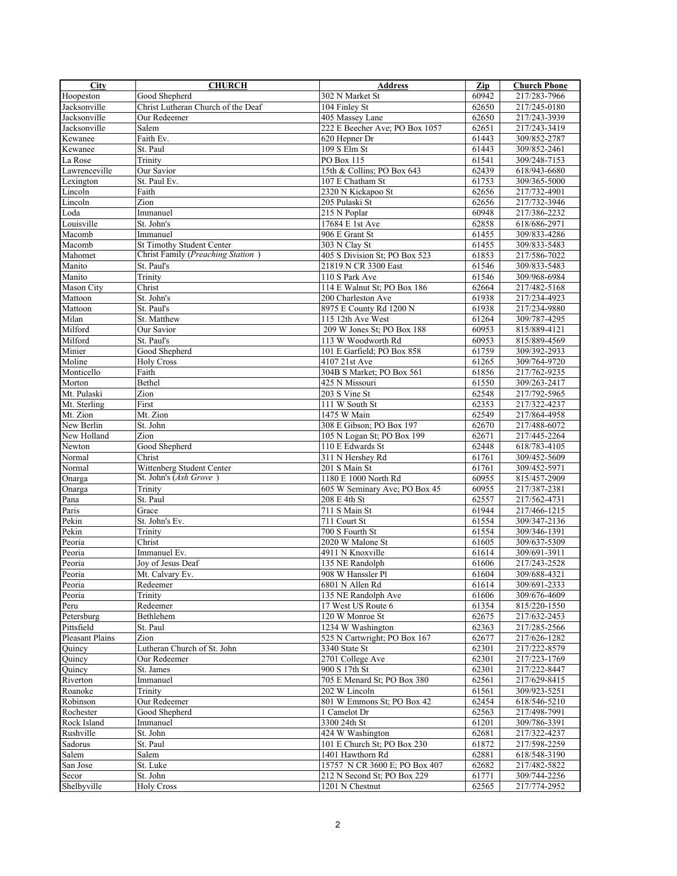| City               | <b>CHURCH</b>                      | <b>Address</b>                 | Ziр            | <b>Church Phone</b> |
|--------------------|------------------------------------|--------------------------------|----------------|---------------------|
| Hoopeston          | Good Shepherd                      | 302 N Market St                | 60942          | 217/283-7966        |
| Jacksonville       | Christ Lutheran Church of the Deaf | 104 Finley St                  | 62650          | 217/245-0180        |
| Jacksonville       | Our Redeemer                       | 405 Massey Lane                | 62650          | 217/243-3939        |
| Jacksonville       | Salem                              | 222 E Beecher Ave; PO Box 1057 | 62651          | 217/243-3419        |
| Kewanee            | Faith Ev.                          | 620 Hepner Dr                  | 61443          | 309/852-2787        |
| Kewanee            | St. Paul                           | 109 S Elm St                   | 61443          | 309/852-2461        |
| La Rose            | Trinity                            | PO Box 115                     | 61541          | 309/248-7153        |
| Lawrenceville      | Our Savior                         | 15th & Collins; PO Box 643     | 62439          | 618/943-6680        |
| Lexington          | St. Paul Ev.                       | 107 E Chatham St               | 61753          | 309/365-5000        |
| Lincoln            | Faith                              | 2320 N Kickapoo St             | 62656          | 217/732-4901        |
| Lincoln            | Zion                               | 205 Pulaski St                 | 62656          | 217/732-3946        |
| Loda               | Immanuel                           | 215 N Poplar                   | 60948          | 217/386-2232        |
| Louisville         | St. John's                         | 17684 E 1st Ave                | 62858          | 618/686-2971        |
| Macomb             | Immanuel                           | 906 E Grant St                 | 61455          | 309/833-4286        |
| Macomb             | St Timothy Student Center          | 303 N Clay St                  | 61455          | 309/833-5483        |
| Mahomet            | Christ Family (Preaching Station)  | 405 S Division St; PO Box 523  | 61853          | 217/586-7022        |
| Manito             | St. Paul's                         | 21819 N CR 3300 East           | 61546          | 309/833-5483        |
| Manito             | Trinity                            | 110 S Park Ave                 | 61546          | 309/968-6984        |
| Mason City         | Christ                             | 114 E Walnut St; PO Box 186    | 62664          | 217/482-5168        |
| Mattoon            | St. John's                         | 200 Charleston Ave             | 61938          | 217/234-4923        |
| Mattoon            | St. Paul's                         | 8975 E County Rd 1200 N        | 61938          | 217/234-9880        |
| Milan              | St. Matthew                        | 115 12th Ave West              | 61264          | 309/787-4295        |
| Milford            | Our Savior                         | 209 W Jones St; PO Box 188     | 60953          | 815/889-4121        |
| Milford            | St. Paul's                         | 113 W Woodworth Rd             | 60953          | 815/889-4569        |
| Minier             | Good Shepherd                      | 101 E Garfield; PO Box 858     | 61759          | 309/392-2933        |
| Moline             | <b>Holy Cross</b>                  | 4107 21st Ave                  | 61265          | 309/764-9720        |
| Monticello         | Faith                              | 304B S Market; PO Box 561      | 61856          | 217/762-9235        |
| Morton             | Bethel                             | 425 N Missouri                 | 61550          | 309/263-2417        |
| Mt. Pulaski        | Zion                               | 203 S Vine St                  | 62548          | 217/792-5965        |
| Mt. Sterling       | First                              | 111 W South St                 | 62353          | 217/322-4237        |
| Mt. Zion           | Mt. Zion                           | 1475 W Main                    | 62549          | 217/864-4958        |
| New Berlin         | St. John                           | 308 E Gibson; PO Box 197       | 62670          | 217/488-6072        |
| New Holland        | Zion                               | 105 N Logan St; PO Box 199     | 62671          | 217/445-2264        |
| Newton             | Good Shepherd                      | 110 E Edwards St               | 62448          | 618/783-4105        |
| Normal             | Christ                             | 311 N Hershey Rd               | 61761          | 309/452-5609        |
| Normal             | Wittenberg Student Center          | 201 S Main St                  | 61761          | 309/452-5971        |
| Onarga             | St. John's (Ash Grove)             | 1180 E 1000 North Rd           | 60955          | 815/457-2909        |
| Onarga             | Trinity                            | 605 W Seminary Ave; PO Box 45  | 60955          | 217/387-2381        |
| Pana               | St. Paul                           | 208 E 4th St                   | 62557          | 217/562-4731        |
| Paris              | Grace                              | 711 S Main St                  | 61944          | 217/466-1215        |
| Pekin              | St. John's Ev.                     | 711 Court St                   | 61554          | 309/347-2136        |
| Pekin              | Trinity                            | 700 S Fourth St                | 61554          | 309/346-1391        |
| Peoria             | Christ                             | 2020 W Malone St               | 61605          | 309/637-5309        |
| Peoria             | Immanuel Ev.                       | 4911 N Knoxville               | 61614          | 309/691-3911        |
| Peoria             | Joy of Jesus Deaf                  | 135 NE Randolph                | 61606          | 217/243-2528        |
| Peoria             | Mt. Calvary Ev.                    | 908 W Hanssler Pl              | 61604          | 309/688-4321        |
| Peoria             | Redeemer                           | 6801 N Allen Rd                | 61614          | 309/691-2333        |
| Peoria             | Trinity                            | 135 NE Randolph Ave            | 61606          | 309/676-4609        |
|                    | Redeemer                           | 17 West US Route 6             |                | 815/220-1550        |
| Peru<br>Petersburg | Bethlehem                          | 120 W Monroe St                | 61354<br>62675 | 217/632-2453        |
| Pittsfield         | St. Paul                           | 1234 W Washington              |                |                     |
|                    | Zion                               | 525 N Cartwright; PO Box 167   | 62363          | 217/285-2566        |
| Pleasant Plains    |                                    |                                | 62677          | 217/626-1282        |
| Quincy             | Lutheran Church of St. John        | 3340 State St                  | 62301          | 217/222-8579        |
| Quincy             | Our Redeemer                       | 2701 College Ave               | 62301          | 217/223-1769        |
| Quincy             | St. James                          | 900 S 17th St                  | 62301          | 217/222-8447        |
| Riverton           | Immanuel                           | 705 E Menard St; PO Box 380    | 62561          | 217/629-8415        |
| Roanoke            | Trinity                            | 202 W Lincoln                  | 61561          | 309/923-5251        |
| Robinson           | Our Redeemer                       | 801 W Emmons St; PO Box 42     | 62454          | 618/546-5210        |
| Rochester          | Good Shepherd                      | 1 Camelot Dr                   | 62563          | 217/498-7991        |
| Rock Island        | Immanuel                           | 3300 24th St                   | 61201          | 309/786-3391        |
| Rushville          | St. John                           | 424 W Washington               | 62681          | 217/322-4237        |
| Sadorus            | St. Paul                           | 101 E Church St; PO Box 230    | 61872          | 217/598-2259        |
| Salem              | Salem                              | 1401 Hawthorn Rd               | 62881          | 618/548-3190        |
| San Jose           | St. Luke                           | 15757 N CR 3600 E; PO Box 407  | 62682          | 217/482-5822        |
| Secor              | St. John                           | 212 N Second St; PO Box 229    | 61771          | 309/744-2256        |
| Shelbyville        | <b>Holy Cross</b>                  | 1201 N Chestnut                | 62565          | 217/774-2952        |